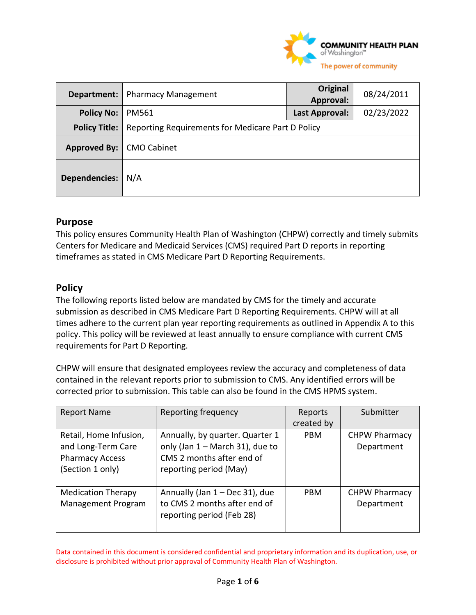

| Department:          | <b>Pharmacy Management</b>                        | Original<br>Approval: | 08/24/2011 |
|----------------------|---------------------------------------------------|-----------------------|------------|
| <b>Policy No:</b>    | PM561                                             | Last Approval:        | 02/23/2022 |
| <b>Policy Title:</b> | Reporting Requirements for Medicare Part D Policy |                       |            |
| <b>Approved By:</b>  | <b>CMO Cabinet</b>                                |                       |            |
| <b>Dependencies:</b> | N/A                                               |                       |            |

## **Purpose**

This policy ensures Community Health Plan of Washington (CHPW) correctly and timely submits Centers for Medicare and Medicaid Services (CMS) required Part D reports in reporting timeframes as stated in CMS Medicare Part D Reporting Requirements.

# **Policy**

The following reports listed below are mandated by CMS for the timely and accurate submission as described in CMS Medicare Part D Reporting Requirements. CHPW will at all times adhere to the current plan year reporting requirements as outlined in Appendix A to this policy. This policy will be reviewed at least annually to ensure compliance with current CMS requirements for Part D Reporting.

CHPW will ensure that designated employees review the accuracy and completeness of data contained in the relevant reports prior to submission to CMS. Any identified errors will be corrected prior to submission. This table can also be found in the CMS HPMS system.

| <b>Report Name</b>                                                                         | Reporting frequency                                                                                                         | Reports<br>created by | Submitter                          |
|--------------------------------------------------------------------------------------------|-----------------------------------------------------------------------------------------------------------------------------|-----------------------|------------------------------------|
| Retail, Home Infusion,<br>and Long-Term Care<br><b>Pharmacy Access</b><br>(Section 1 only) | Annually, by quarter. Quarter 1<br>only (Jan $1 -$ March 31), due to<br>CMS 2 months after end of<br>reporting period (May) | <b>PBM</b>            | <b>CHPW Pharmacy</b><br>Department |
| <b>Medication Therapy</b><br><b>Management Program</b>                                     | Annually (Jan 1 - Dec 31), due<br>to CMS 2 months after end of<br>reporting period (Feb 28)                                 | <b>PBM</b>            | <b>CHPW Pharmacy</b><br>Department |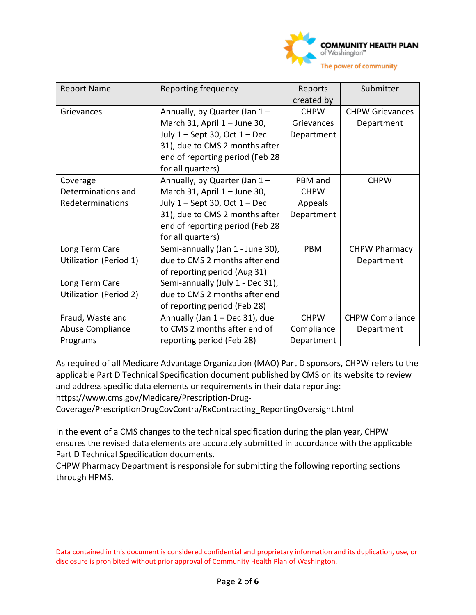

| <b>Report Name</b>     | Reporting frequency               | Reports     | Submitter              |
|------------------------|-----------------------------------|-------------|------------------------|
|                        |                                   | created by  |                        |
| Grievances             | Annually, by Quarter (Jan 1-      | <b>CHPW</b> | <b>CHPW Grievances</b> |
|                        | March 31, April 1 - June 30,      | Grievances  | Department             |
|                        | July $1 -$ Sept 30, Oct $1 -$ Dec | Department  |                        |
|                        | 31), due to CMS 2 months after    |             |                        |
|                        | end of reporting period (Feb 28   |             |                        |
|                        | for all quarters)                 |             |                        |
| Coverage               | Annually, by Quarter (Jan 1-      | PBM and     | <b>CHPW</b>            |
| Determinations and     | March 31, April $1 -$ June 30,    | <b>CHPW</b> |                        |
| Redeterminations       | July $1 -$ Sept 30, Oct $1 -$ Dec | Appeals     |                        |
|                        | 31), due to CMS 2 months after    | Department  |                        |
|                        | end of reporting period (Feb 28   |             |                        |
|                        | for all quarters)                 |             |                        |
| Long Term Care         | Semi-annually (Jan 1 - June 30),  | <b>PBM</b>  | <b>CHPW Pharmacy</b>   |
| Utilization (Period 1) | due to CMS 2 months after end     |             | Department             |
|                        | of reporting period (Aug 31)      |             |                        |
| Long Term Care         | Semi-annually (July 1 - Dec 31),  |             |                        |
| Utilization (Period 2) | due to CMS 2 months after end     |             |                        |
|                        | of reporting period (Feb 28)      |             |                        |
| Fraud, Waste and       | Annually (Jan 1 - Dec 31), due    | <b>CHPW</b> | <b>CHPW Compliance</b> |
| Abuse Compliance       | to CMS 2 months after end of      | Compliance  | Department             |
| Programs               | reporting period (Feb 28)         | Department  |                        |

As required of all Medicare Advantage Organization (MAO) Part D sponsors, CHPW refers to the applicable Part D Technical Specification document published by CMS on its website to review and address specific data elements or requirements in their data reporting:

https://www.cms.gov/Medicare/Prescription-Drug-

Coverage/PrescriptionDrugCovContra/RxContracting\_ReportingOversight.html

In the event of a CMS changes to the technical specification during the plan year, CHPW ensures the revised data elements are accurately submitted in accordance with the applicable Part D Technical Specification documents.

CHPW Pharmacy Department is responsible for submitting the following reporting sections through HPMS.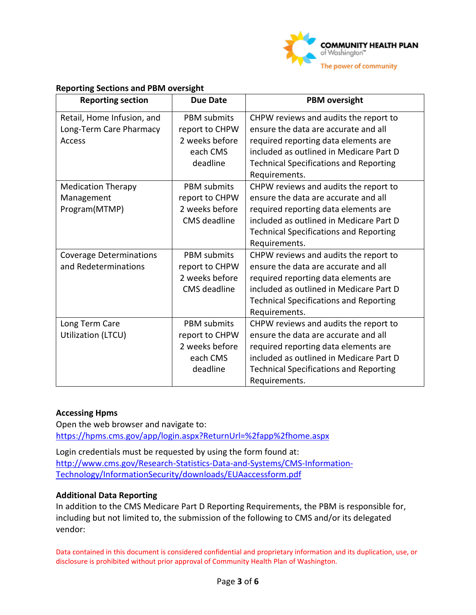

#### **Reporting Sections and PBM oversight**

| <b>Reporting section</b>       | <b>Due Date</b>     | <b>PBM</b> oversight                          |  |
|--------------------------------|---------------------|-----------------------------------------------|--|
| Retail, Home Infusion, and     | <b>PBM</b> submits  | CHPW reviews and audits the report to         |  |
| Long-Term Care Pharmacy        | report to CHPW      | ensure the data are accurate and all          |  |
| Access                         | 2 weeks before      | required reporting data elements are          |  |
|                                | each CMS            | included as outlined in Medicare Part D       |  |
|                                | deadline            | <b>Technical Specifications and Reporting</b> |  |
|                                |                     | Requirements.                                 |  |
| <b>Medication Therapy</b>      | <b>PBM</b> submits  | CHPW reviews and audits the report to         |  |
| Management                     | report to CHPW      | ensure the data are accurate and all          |  |
| Program(MTMP)                  | 2 weeks before      | required reporting data elements are          |  |
|                                | <b>CMS</b> deadline | included as outlined in Medicare Part D       |  |
|                                |                     | <b>Technical Specifications and Reporting</b> |  |
|                                |                     | Requirements.                                 |  |
| <b>Coverage Determinations</b> | <b>PBM</b> submits  | CHPW reviews and audits the report to         |  |
| and Redeterminations           | report to CHPW      | ensure the data are accurate and all          |  |
|                                | 2 weeks before      | required reporting data elements are          |  |
|                                | <b>CMS</b> deadline | included as outlined in Medicare Part D       |  |
|                                |                     | <b>Technical Specifications and Reporting</b> |  |
|                                |                     | Requirements.                                 |  |
| Long Term Care                 | <b>PBM</b> submits  | CHPW reviews and audits the report to         |  |
| Utilization (LTCU)             | report to CHPW      | ensure the data are accurate and all          |  |
|                                | 2 weeks before      | required reporting data elements are          |  |
|                                | each CMS            | included as outlined in Medicare Part D       |  |
|                                | deadline            | <b>Technical Specifications and Reporting</b> |  |
|                                |                     | Requirements.                                 |  |

#### **Accessing Hpms**

Open the web browser and navigate to: <https://hpms.cms.gov/app/login.aspx?ReturnUrl=%2fapp%2fhome.aspx>

Login credentials must be requested by using the form found at: [http://www.cms.gov/Research-Statistics-Data-and-Systems/CMS-Information-](http://www.cms.gov/Research-Statistics-Data-and-Systems/CMS-Information-Technology/InformationSecurity/downloads/EUAaccessform.pdf)[Technology/InformationSecurity/downloads/EUAaccessform.pdf](http://www.cms.gov/Research-Statistics-Data-and-Systems/CMS-Information-Technology/InformationSecurity/downloads/EUAaccessform.pdf)

#### **Additional Data Reporting**

In addition to the CMS Medicare Part D Reporting Requirements, the PBM is responsible for, including but not limited to, the submission of the following to CMS and/or its delegated vendor: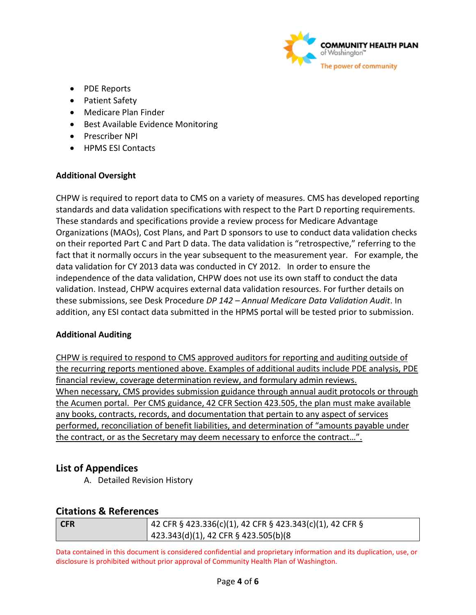

- PDE Reports
- Patient Safety
- Medicare Plan Finder
- Best Available Evidence Monitoring
- Prescriber NPI
- HPMS ESI Contacts

## **Additional Oversight**

CHPW is required to report data to CMS on a variety of measures. CMS has developed reporting standards and data validation specifications with respect to the Part D reporting requirements. These standards and specifications provide a review process for Medicare Advantage Organizations (MAOs), Cost Plans, and Part D sponsors to use to conduct data validation checks on their reported Part C and Part D data. The data validation is "retrospective," referring to the fact that it normally occurs in the year subsequent to the measurement year. For example, the data validation for CY 2013 data was conducted in CY 2012. In order to ensure the independence of the data validation, CHPW does not use its own staff to conduct the data validation. Instead, CHPW acquires external data validation resources. For further details on these submissions, see Desk Procedure *DP 142 – Annual Medicare Data Validation Audit*. In addition, any ESI contact data submitted in the HPMS portal will be tested prior to submission.

## **Additional Auditing**

CHPW is required to respond to CMS approved auditors for reporting and auditing outside of the recurring reports mentioned above. Examples of additional audits include PDE analysis, PDE financial review, coverage determination review, and formulary admin reviews. When necessary, CMS provides submission guidance through annual audit protocols or through the Acumen portal. Per CMS guidance, 42 CFR Section 423.505, the plan must make available any books, contracts, records, and documentation that pertain to any aspect of services performed, reconciliation of benefit liabilities, and determination of "amounts payable under the contract, or as the Secretary may deem necessary to enforce the contract…".

# **List of Appendices**

A. Detailed Revision History

## **Citations & References**

| CFR | 42 CFR § 423.336(c)(1), 42 CFR § 423.343(c)(1), 42 CFR § |
|-----|----------------------------------------------------------|
|     | $\vert$ 423.343(d)(1), 42 CFR § 423.505(b)(8             |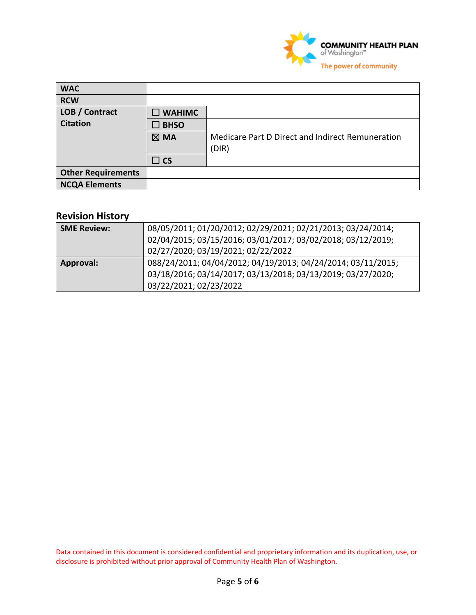

| <b>WAC</b>                |                  |                                                           |
|---------------------------|------------------|-----------------------------------------------------------|
| <b>RCW</b>                |                  |                                                           |
| LOB / Contract            | $\square$ WAHIMC |                                                           |
| <b>Citation</b>           | $\square$ BHSO   |                                                           |
|                           | $\boxtimes$ MA   | Medicare Part D Direct and Indirect Remuneration<br>(DIR) |
|                           | $\Box$ CS        |                                                           |
| <b>Other Requirements</b> |                  |                                                           |
| <b>NCQA Elements</b>      |                  |                                                           |

# **Revision History**

| <b>SME Review:</b> | 08/05/2011; 01/20/2012; 02/29/2021; 02/21/2013; 03/24/2014;<br>02/04/2015; 03/15/2016; 03/01/2017; 03/02/2018; 03/12/2019;<br>02/27/2020; 03/19/2021; 02/22/2022 |
|--------------------|------------------------------------------------------------------------------------------------------------------------------------------------------------------|
| Approval:          | 088/24/2011; 04/04/2012; 04/19/2013; 04/24/2014; 03/11/2015;<br>03/18/2016; 03/14/2017; 03/13/2018; 03/13/2019; 03/27/2020;<br>03/22/2021; 02/23/2022            |